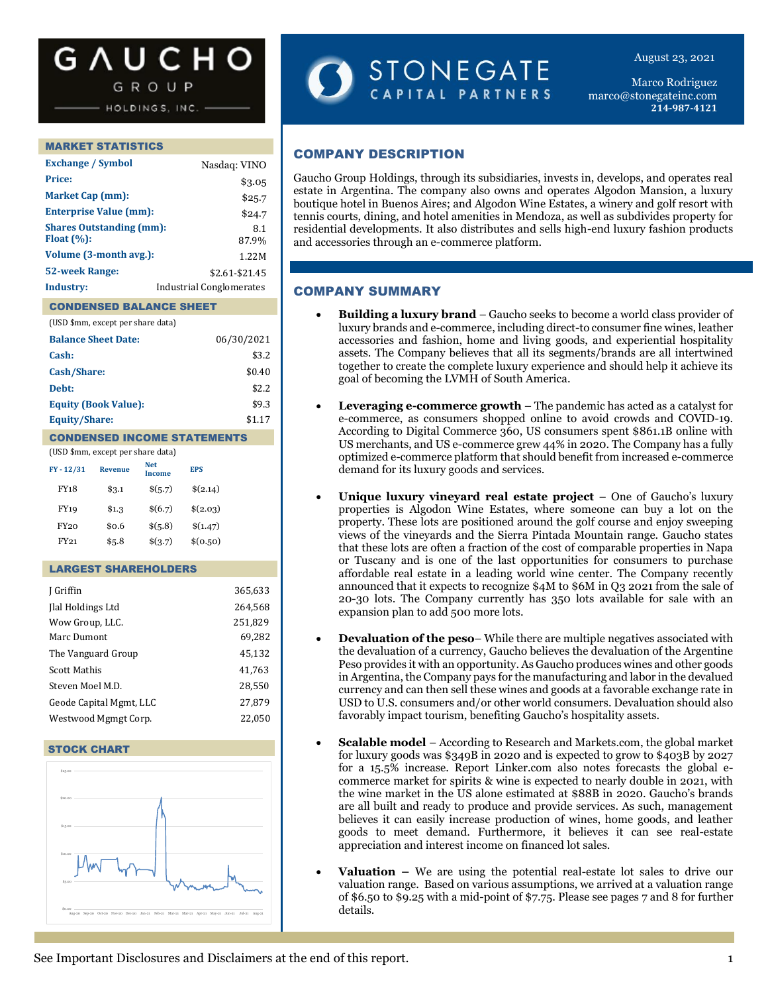# **G A U C H O**

GROUP

HOLDINGS, INC.

#### MARKET STATISTICS

| <b>Exchange / Symbol</b>                         | Nasdaq: VINO                    |
|--------------------------------------------------|---------------------------------|
| <b>Price:</b>                                    | \$3.05                          |
| <b>Market Cap (mm):</b>                          | \$25.7                          |
| <b>Enterprise Value (mm):</b>                    | \$24.7                          |
| <b>Shares Outstanding (mm):</b><br>Float $(\%):$ | 8.1<br>87.9%                    |
| Volume (3-month avg.):                           | 1.22M                           |
| <b>52-week Range:</b>                            | \$2.61-\$21.45                  |
| Industry:                                        | <b>Industrial Conglomerates</b> |

# CONDENSED BALANCE SHEET

| (USD \$mm, except per share data) |            |
|-----------------------------------|------------|
| <b>Balance Sheet Date:</b>        | 06/30/2021 |
| Cash:                             | \$3.2      |
| Cash/Share:                       | \$0.40     |
| Debt:                             | \$2.2      |
| <b>Equity (Book Value):</b>       | \$9.3      |
| <b>Equity/Share:</b>              | \$1.17     |
|                                   |            |

#### CONDENSED INCOME STATEMENTS

| (USD \$mm, except per share data) |                |                      |            |  |  |  |  |  |
|-----------------------------------|----------------|----------------------|------------|--|--|--|--|--|
| $FY - 12/31$                      | <b>Revenue</b> | <b>Net</b><br>Income | <b>EPS</b> |  |  |  |  |  |
| <b>FY18</b>                       | \$3.1          | \$(5.7)              | \$(2.14)   |  |  |  |  |  |
| FY19                              | \$1.3          | \$(6.7)              | \$(2.03)   |  |  |  |  |  |
| FY20                              | \$0.6          | \$(5.8)              | \$(1.47)   |  |  |  |  |  |
| FY21                              | \$5.8          | \$(3.7)              | \$(0.50)   |  |  |  |  |  |

#### LARGEST SHAREHOLDERS

| J Griffin               | 365,633 |
|-------------------------|---------|
| Ilal Holdings Ltd       | 264,568 |
| Wow Group, LLC.         | 251,829 |
| Marc Dumont             | 69,282  |
| The Vanguard Group      | 45,132  |
| Scott Mathis            | 41,763  |
| Steven Moel M.D.        | 28.550  |
| Geode Capital Mgmt, LLC | 27,879  |
| Westwood Mgmgt Corp.    | 22,050  |
|                         |         |

#### STOCK CHART



STONEGATE CAPITAL PARTNERS

Marco Rodriguez marco@stonegateinc.com **214-987-4121**

August 23, 2021

# COMPANY DESCRIPTION

Gaucho Group Holdings, through its subsidiaries, invests in, develops, and operates real estate in Argentina. The company also owns and operates Algodon Mansion, a luxury boutique hotel in Buenos Aires; and Algodon Wine Estates, a winery and golf resort with tennis courts, dining, and hotel amenities in Mendoza, as well as subdivides property for residential developments. It also distributes and sells high-end luxury fashion products and accessories through an e-commerce platform.

#### COMPANY SUMMARY

- **Building a luxury brand** Gaucho seeks to become a world class provider of luxury brands and e-commerce, including direct-to consumer fine wines, leather accessories and fashion, home and living goods, and experiential hospitality assets. The Company believes that all its segments/brands are all intertwined together to create the complete luxury experience and should help it achieve its goal of becoming the LVMH of South America.
- **Leveraging e-commerce growth**  The pandemic has acted as a catalyst for e-commerce, as consumers shopped online to avoid crowds and COVID-19. According to Digital Commerce 360, US consumers spent \$861.1B online with US merchants, and US e-commerce grew 44% in 2020. The Company has a fully optimized e-commerce platform that should benefit from increased e-commerce demand for its luxury goods and services.
- **Unique luxury vineyard real estate project**  One of Gaucho's luxury properties is Algodon Wine Estates, where someone can buy a lot on the property. These lots are positioned around the golf course and enjoy sweeping views of the vineyards and the Sierra Pintada Mountain range. Gaucho states that these lots are often a fraction of the cost of comparable properties in Napa or Tuscany and is one of the last opportunities for consumers to purchase affordable real estate in a leading world wine center. The Company recently announced that it expects to recognize \$4M to \$6M in Q3 2021 from the sale of 20-30 lots. The Company currently has 350 lots available for sale with an expansion plan to add 500 more lots.
- **Devaluation of the peso** While there are multiple negatives associated with the devaluation of a currency, Gaucho believes the devaluation of the Argentine Peso provides it with an opportunity. As Gaucho produces wines and other goods in Argentina, the Company pays for the manufacturing and labor in the devalued currency and can then sell these wines and goods at a favorable exchange rate in USD to U.S. consumers and/or other world consumers. Devaluation should also favorably impact tourism, benefiting Gaucho's hospitality assets.
- **Scalable model**  According to Research and Markets.com, the global market for luxury goods was \$349B in 2020 and is expected to grow to \$403B by 2027 for a 15.5% increase. Report Linker.com also notes forecasts the global ecommerce market for spirits & wine is expected to nearly double in 2021, with the wine market in the US alone estimated at \$88B in 2020. Gaucho's brands are all built and ready to produce and provide services. As such, management believes it can easily increase production of wines, home goods, and leather goods to meet demand. Furthermore, it believes it can see real-estate appreciation and interest income on financed lot sales.
- **Valuation –** We are using the potential real-estate lot sales to drive our valuation range. Based on various assumptions, we arrived at a valuation range of \$6.50 to \$9.25 with a mid-point of \$7.75. Please see pages 7 and 8 for further details.

See Important Disclosures and Disclaimers at the end of this report. 1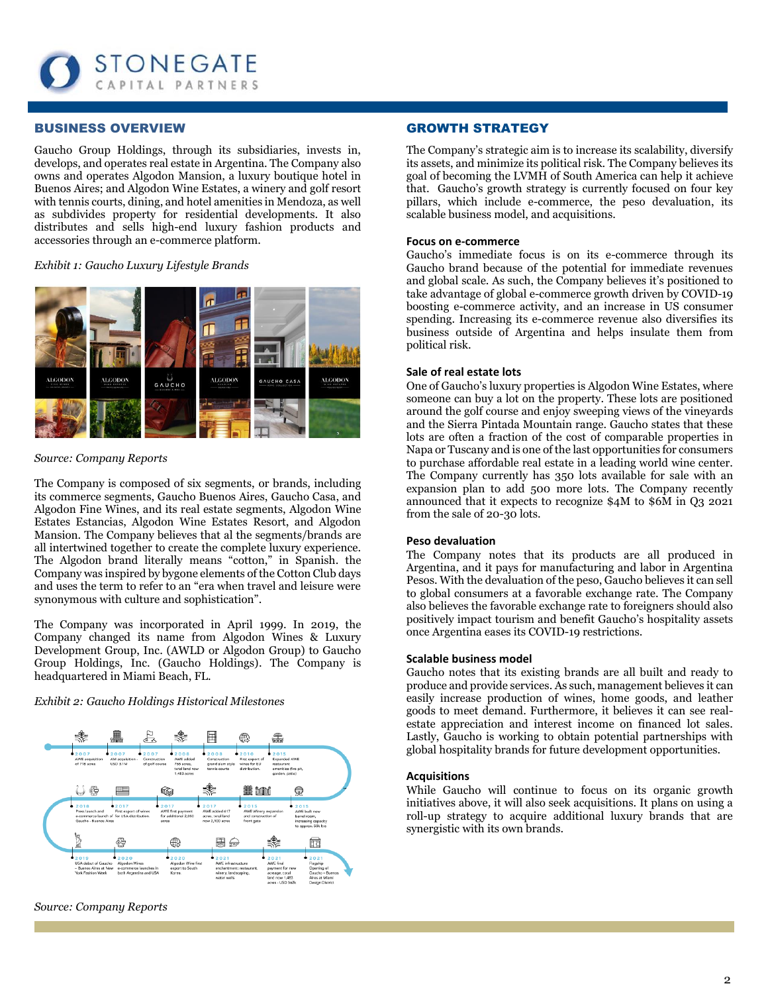

#### BUSINESS OVERVIEW

Gaucho Group Holdings, through its subsidiaries, invests in, develops, and operates real estate in Argentina. The Company also owns and operates Algodon Mansion, a luxury boutique hotel in Buenos Aires; and Algodon Wine Estates, a winery and golf resort with tennis courts, dining, and hotel amenities in Mendoza, as well as subdivides property for residential developments. It also distributes and sells high-end luxury fashion products and accessories through an e-commerce platform.

#### *Exhibit 1: Gaucho Luxury Lifestyle Brands*



*Source: Company Reports*

The Company is composed of six segments, or brands, including its commerce segments, Gaucho Buenos Aires, Gaucho Casa, and Algodon Fine Wines, and its real estate segments, Algodon Wine Estates Estancias, Algodon Wine Estates Resort, and Algodon Mansion. The Company believes that al the segments/brands are all intertwined together to create the complete luxury experience. The Algodon brand literally means "cotton," in Spanish. the Company was inspired by bygone elements of the Cotton Club days and uses the term to refer to an "era when travel and leisure were synonymous with culture and sophistication".

The Company was incorporated in April 1999. In 2019, the Company changed its name from Algodon Wines & Luxury Development Group, Inc. (AWLD or Algodon Group) to Gaucho Group Holdings, Inc. (Gaucho Holdings). The Company is headquartered in Miami Beach, FL.

#### *Exhibit 2: Gaucho Holdings Historical Milestones*



*Source: Company Reports*

#### GROWTH STRATEGY

The Company's strategic aim is to increase its scalability, diversify its assets, and minimize its political risk. The Company believes its goal of becoming the LVMH of South America can help it achieve that. Gaucho's growth strategy is currently focused on four key pillars, which include e-commerce, the peso devaluation, its scalable business model, and acquisitions.

#### **Focus on e-commerce**

Gaucho's immediate focus is on its e-commerce through its Gaucho brand because of the potential for immediate revenues and global scale. As such, the Company believes it's positioned to take advantage of global e-commerce growth driven by COVID-19 boosting e-commerce activity, and an increase in US consumer spending. Increasing its e-commerce revenue also diversifies its business outside of Argentina and helps insulate them from political risk.

#### **Sale of real estate lots**

One of Gaucho's luxury properties is Algodon Wine Estates, where someone can buy a lot on the property. These lots are positioned around the golf course and enjoy sweeping views of the vineyards and the Sierra Pintada Mountain range. Gaucho states that these lots are often a fraction of the cost of comparable properties in Napa or Tuscany and is one of the last opportunities for consumers to purchase affordable real estate in a leading world wine center. The Company currently has 350 lots available for sale with an expansion plan to add 500 more lots. The Company recently announced that it expects to recognize \$4M to \$6M in Q3 2021 from the sale of 20-30 lots.

#### **Peso devaluation**

The Company notes that its products are all produced in Argentina, and it pays for manufacturing and labor in Argentina Pesos. With the devaluation of the peso, Gaucho believes it can sell to global consumers at a favorable exchange rate. The Company also believes the favorable exchange rate to foreigners should also positively impact tourism and benefit Gaucho's hospitality assets once Argentina eases its COVID-19 restrictions.

#### **Scalable business model**

Gaucho notes that its existing brands are all built and ready to produce and provide services. As such, management believes it can easily increase production of wines, home goods, and leather goods to meet demand. Furthermore, it believes it can see realestate appreciation and interest income on financed lot sales. Lastly, Gaucho is working to obtain potential partnerships with global hospitality brands for future development opportunities.

#### **Acquisitions**

While Gaucho will continue to focus on its organic growth initiatives above, it will also seek acquisitions. It plans on using a roll-up strategy to acquire additional luxury brands that are synergistic with its own brands.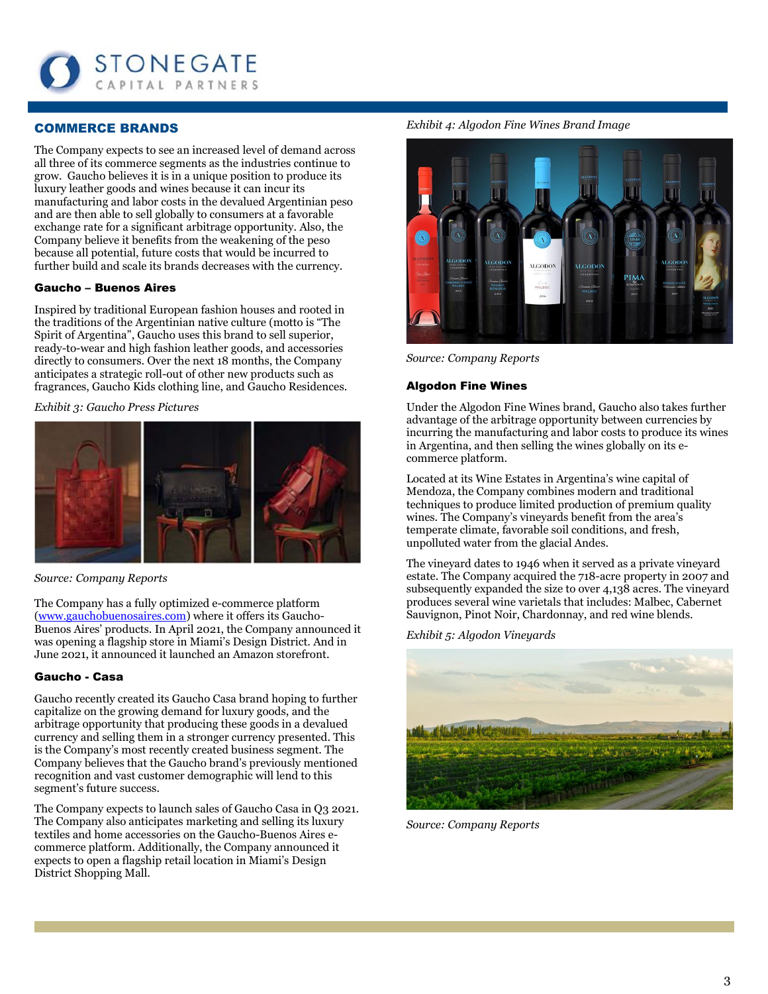

## COMMERCE BRANDS

The Company expects to see an increased level of demand across all three of its commerce segments as the industries continue to grow. Gaucho believes it is in a unique position to produce its luxury leather goods and wines because it can incur its manufacturing and labor costs in the devalued Argentinian peso and are then able to sell globally to consumers at a favorable exchange rate for a significant arbitrage opportunity. Also, the Company believe it benefits from the weakening of the peso because all potential, future costs that would be incurred to further build and scale its brands decreases with the currency.

#### Gaucho – Buenos Aires

Inspired by traditional European fashion houses and rooted in the traditions of the Argentinian native culture (motto is "The Spirit of Argentina", Gaucho uses this brand to sell superior, ready-to-wear and high fashion leather goods, and accessories directly to consumers. Over the next 18 months, the Company anticipates a strategic roll-out of other new products such as fragrances, Gaucho Kids clothing line, and Gaucho Residences.

*Exhibit 3: Gaucho Press Pictures*



*Source: Company Reports*

The Company has a fully optimized e-commerce platform [\(www.gauchobuenosaires.com\)](http://www.gauchobuenosaires.com/) where it offers its Gaucho-Buenos Aires' products. In April 2021, the Company announced it was opening a flagship store in Miami's Design District. And in June 2021, it announced it launched an Amazon storefront.

#### Gaucho - Casa

Gaucho recently created its Gaucho Casa brand hoping to further capitalize on the growing demand for luxury goods, and the arbitrage opportunity that producing these goods in a devalued currency and selling them in a stronger currency presented. This is the Company's most recently created business segment. The Company believes that the Gaucho brand's previously mentioned recognition and vast customer demographic will lend to this segment's future success.

The Company expects to launch sales of Gaucho Casa in Q3 2021. The Company also anticipates marketing and selling its luxury textiles and home accessories on the Gaucho-Buenos Aires ecommerce platform. Additionally, the Company announced it expects to open a flagship retail location in Miami's Design District Shopping Mall.

*Exhibit 4: Algodon Fine Wines Brand Image*



*Source: Company Reports*

#### Algodon Fine Wines

Under the Algodon Fine Wines brand, Gaucho also takes further advantage of the arbitrage opportunity between currencies by incurring the manufacturing and labor costs to produce its wines in Argentina, and then selling the wines globally on its ecommerce platform.

Located at its Wine Estates in Argentina's wine capital of Mendoza, the Company combines modern and traditional techniques to produce limited production of premium quality wines. The Company's vineyards benefit from the area's temperate climate, favorable soil conditions, and fresh, unpolluted water from the glacial Andes.

The vineyard dates to 1946 when it served as a private vineyard estate. The Company acquired the 718-acre property in 2007 and subsequently expanded the size to over 4,138 acres. The vineyard produces several wine varietals that includes: Malbec, Cabernet Sauvignon, Pinot Noir, Chardonnay, and red wine blends.

*Exhibit 5: Algodon Vineyards*



*Source: Company Reports*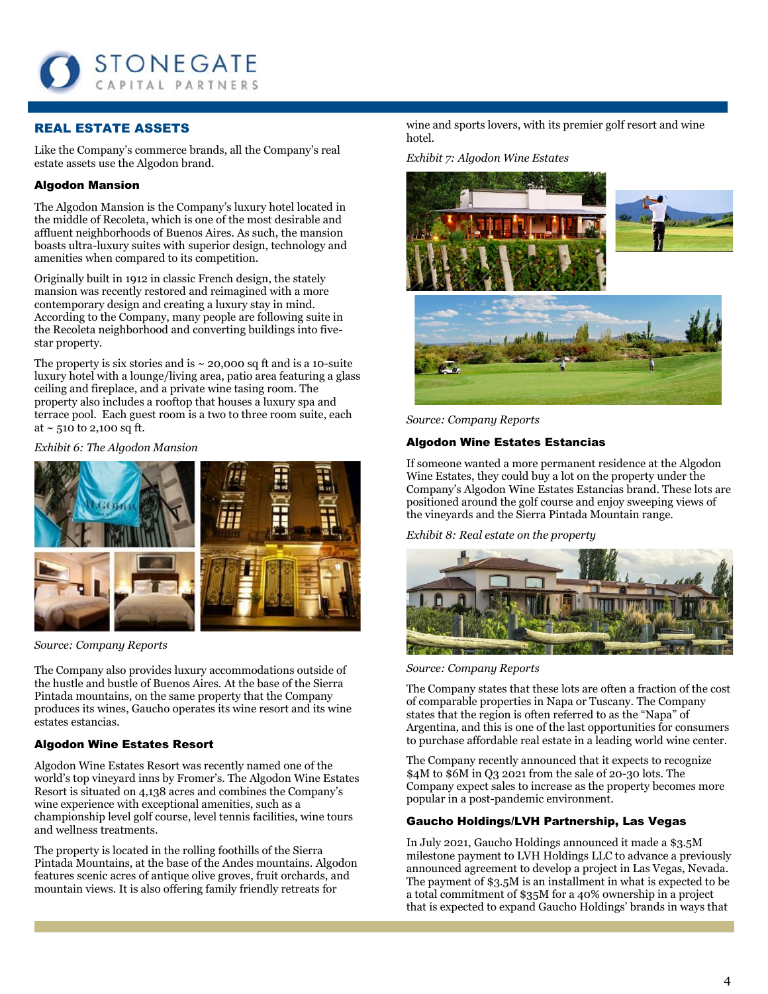

# REAL ESTATE ASSETS

Like the Company's commerce brands, all the Company's real estate assets use the Algodon brand.

## Algodon Mansion

The Algodon Mansion is the Company's luxury hotel located in the middle of Recoleta, which is one of the most desirable and affluent neighborhoods of Buenos Aires. As such, the mansion boasts ultra-luxury suites with superior design, technology and amenities when compared to its competition.

Originally built in 1912 in classic French design, the stately mansion was recently restored and reimagined with a more contemporary design and creating a luxury stay in mind. According to the Company, many people are following suite in the Recoleta neighborhood and converting buildings into fivestar property.

The property is six stories and is  $\sim$  20,000 sq ft and is a 10-suite luxury hotel with a lounge/living area, patio area featuring a glass ceiling and fireplace, and a private wine tasing room. The property also includes a rooftop that houses a luxury spa and terrace pool. Each guest room is a two to three room suite, each at  $\sim$  510 to 2,100 sq ft.

#### *Exhibit 6: The Algodon Mansion*



*Source: Company Reports*

The Company also provides luxury accommodations outside of the hustle and bustle of Buenos Aires. At the base of the Sierra Pintada mountains, on the same property that the Company produces its wines, Gaucho operates its wine resort and its wine estates estancias.

#### Algodon Wine Estates Resort

Algodon Wine Estates Resort was recently named one of the world's top vineyard inns by Fromer's. The Algodon Wine Estates Resort is situated on 4,138 acres and combines the Company's wine experience with exceptional amenities, such as a championship level golf course, level tennis facilities, wine tours and wellness treatments.

The property is located in the rolling foothills of the Sierra Pintada Mountains, at the base of the Andes mountains. Algodon features scenic acres of antique olive groves, fruit orchards, and mountain views. It is also offering family friendly retreats for

wine and sports lovers, with its premier golf resort and wine hotel.

*Exhibit 7: Algodon Wine Estates*



*Source: Company Reports*

#### Algodon Wine Estates Estancias

If someone wanted a more permanent residence at the Algodon Wine Estates, they could buy a lot on the property under the Company's Algodon Wine Estates Estancias brand. These lots are positioned around the golf course and enjoy sweeping views of the vineyards and the Sierra Pintada Mountain range.

#### *Exhibit 8: Real estate on the property*



*Source: Company Reports*

The Company states that these lots are often a fraction of the cost of comparable properties in Napa or Tuscany. The Company states that the region is often referred to as the "Napa" of Argentina, and this is one of the last opportunities for consumers to purchase affordable real estate in a leading world wine center.

The Company recently announced that it expects to recognize \$4M to \$6M in Q3 2021 from the sale of 20-30 lots. The Company expect sales to increase as the property becomes more popular in a post-pandemic environment.

## Gaucho Holdings/LVH Partnership, Las Vegas

In July 2021, Gaucho Holdings announced it made a \$3.5M milestone payment to LVH Holdings LLC to advance a previously announced agreement to develop a project in Las Vegas, Nevada. The payment of \$3.5M is an installment in what is expected to be a total commitment of \$35M for a 40% ownership in a project that is expected to expand Gaucho Holdings' brands in ways that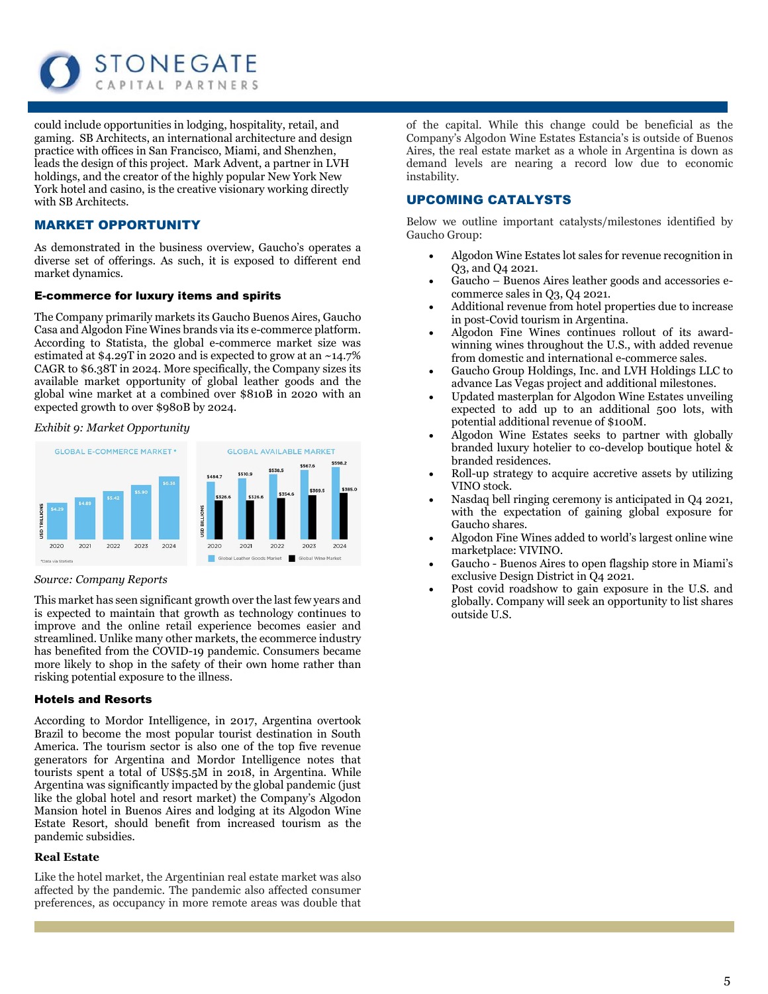

could include opportunities in lodging, hospitality, retail, and gaming. SB Architects, an international architecture and design practice with offices in San Francisco, Miami, and Shenzhen, leads the design of this project. Mark Advent, a partner in LVH holdings, and the creator of the highly popular New York New York hotel and casino, is the creative visionary working directly with SB Architects.

## MARKET OPPORTUNITY

As demonstrated in the business overview, Gaucho's operates a diverse set of offerings. As such, it is exposed to different end market dynamics.

#### E-commerce for luxury items and spirits

The Company primarily markets its Gaucho Buenos Aires, Gaucho Casa and Algodon Fine Wines brands via its e-commerce platform. According to Statista, the global e-commerce market size was estimated at \$4.29T in 2020 and is expected to grow at an ~14.7% CAGR to \$6.38T in 2024. More specifically, the Company sizes its available market opportunity of global leather goods and the global wine market at a combined over \$810B in 2020 with an expected growth to over \$980B by 2024.

*Exhibit 9: Market Opportunity*



#### *Source: Company Reports*

This market has seen significant growth over the last few years and is expected to maintain that growth as technology continues to improve and the online retail experience becomes easier and streamlined. Unlike many other markets, the ecommerce industry has benefited from the COVID-19 pandemic. Consumers became more likely to shop in the safety of their own home rather than risking potential exposure to the illness.

#### Hotels and Resorts

According to Mordor Intelligence, in 2017, Argentina overtook Brazil to become the most popular tourist destination in South America. The tourism sector is also one of the top five revenue generators for Argentina and Mordor Intelligence notes that tourists spent a total of US\$5.5M in 2018, in Argentina. While Argentina was significantly impacted by the global pandemic (just like the global hotel and resort market) the Company's Algodon Mansion hotel in Buenos Aires and lodging at its Algodon Wine Estate Resort, should benefit from increased tourism as the pandemic subsidies.

#### **Real Estate**

Like the hotel market, the Argentinian real estate market was also affected by the pandemic. The pandemic also affected consumer preferences, as occupancy in more remote areas was double that of the capital. While this change could be beneficial as the Company's Algodon Wine Estates Estancia's is outside of Buenos Aires, the real estate market as a whole in Argentina is down as demand levels are nearing a record low due to economic instability.

#### UPCOMING CATALYSTS

Below we outline important catalysts/milestones identified by Gaucho Group:

- Algodon Wine Estates lot sales for revenue recognition in Q3, and Q4 2021.
- Gaucho Buenos Aires leather goods and accessories ecommerce sales in Q3, Q4 2021.
- Additional revenue from hotel properties due to increase in post-Covid tourism in Argentina.
- Algodon Fine Wines continues rollout of its awardwinning wines throughout the U.S., with added revenue from domestic and international e-commerce sales.
- Gaucho Group Holdings, Inc. and LVH Holdings LLC to advance Las Vegas project and additional milestones.
- Updated masterplan for Algodon Wine Estates unveiling expected to add up to an additional 500 lots, with potential additional revenue of \$100M.
- Algodon Wine Estates seeks to partner with globally branded luxury hotelier to co-develop boutique hotel & branded residences.
- Roll-up strategy to acquire accretive assets by utilizing VINO stock.
- Nasdaq bell ringing ceremony is anticipated in Q4 2021, with the expectation of gaining global exposure for Gaucho shares.
- Algodon Fine Wines added to world's largest online wine marketplace: VIVINO.
- Gaucho Buenos Aires to open flagship store in Miami's exclusive Design District in Q4 2021.
- Post covid roadshow to gain exposure in the U.S. and globally. Company will seek an opportunity to list shares outside U.S.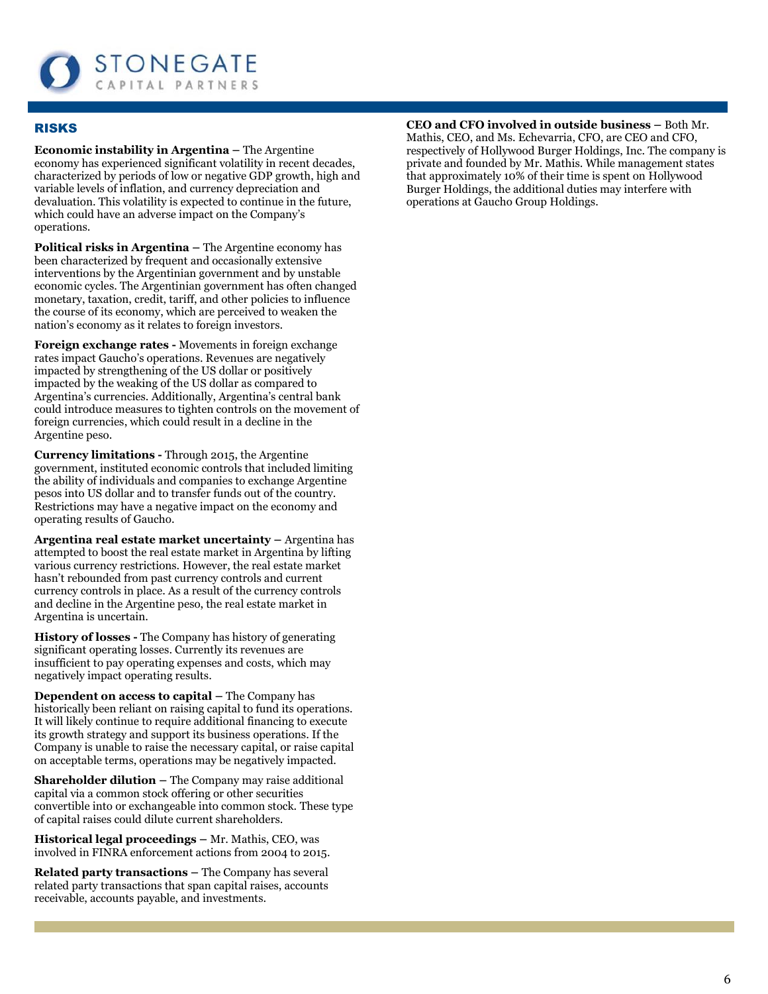

# RISKS

**Economic instability in Argentina –** The Argentine economy has experienced significant volatility in recent decades, characterized by periods of low or negative GDP growth, high and variable levels of inflation, and currency depreciation and devaluation. This volatility is expected to continue in the future, which could have an adverse impact on the Company's operations.

**Political risks in Argentina –** The Argentine economy has been characterized by frequent and occasionally extensive interventions by the Argentinian government and by unstable economic cycles. The Argentinian government has often changed monetary, taxation, credit, tariff, and other policies to influence the course of its economy, which are perceived to weaken the nation's economy as it relates to foreign investors.

**Foreign exchange rates -** Movements in foreign exchange rates impact Gaucho's operations. Revenues are negatively impacted by strengthening of the US dollar or positively impacted by the weaking of the US dollar as compared to Argentina's currencies. Additionally, Argentina's central bank could introduce measures to tighten controls on the movement of foreign currencies, which could result in a decline in the Argentine peso.

**Currency limitations -** Through 2015, the Argentine government, instituted economic controls that included limiting the ability of individuals and companies to exchange Argentine pesos into US dollar and to transfer funds out of the country. Restrictions may have a negative impact on the economy and operating results of Gaucho.

**Argentina real estate market uncertainty – Argentina has** attempted to boost the real estate market in Argentina by lifting various currency restrictions. However, the real estate market hasn't rebounded from past currency controls and current currency controls in place. As a result of the currency controls and decline in the Argentine peso, the real estate market in Argentina is uncertain.

**History of losses -** The Company has history of generating significant operating losses. Currently its revenues are insufficient to pay operating expenses and costs, which may negatively impact operating results.

**Dependent on access to capital –** The Company has historically been reliant on raising capital to fund its operations. It will likely continue to require additional financing to execute its growth strategy and support its business operations. If the Company is unable to raise the necessary capital, or raise capital on acceptable terms, operations may be negatively impacted.

**Shareholder dilution –** The Company may raise additional capital via a common stock offering or other securities convertible into or exchangeable into common stock. These type of capital raises could dilute current shareholders.

**Historical legal proceedings –** Mr. Mathis, CEO, was involved in FINRA enforcement actions from 2004 to 2015.

**Related party transactions –** The Company has several related party transactions that span capital raises, accounts receivable, accounts payable, and investments.

#### **CEO and CFO involved in outside business –** Both Mr. Mathis, CEO, and Ms. Echevarria, CFO, are CEO and CFO,

respectively of Hollywood Burger Holdings, Inc. The company is private and founded by Mr. Mathis. While management states that approximately 10% of their time is spent on Hollywood Burger Holdings, the additional duties may interfere with operations at Gaucho Group Holdings.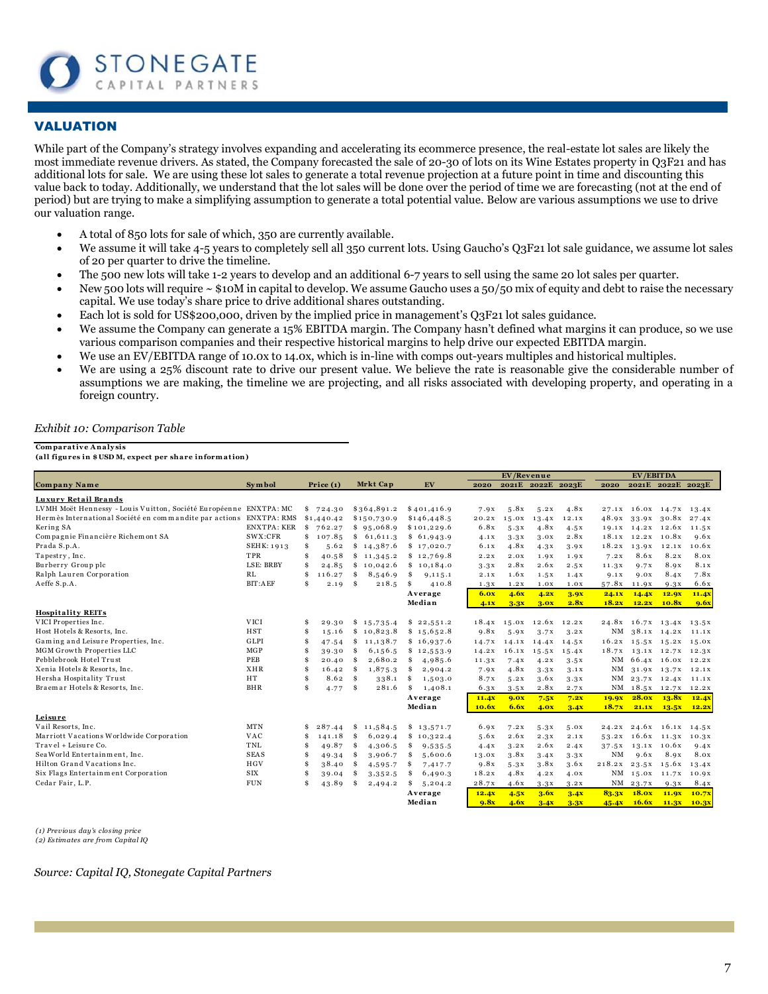

# VALUATION

While part of the Company's strategy involves expanding and accelerating its ecommerce presence, the real-estate lot sales are likely the most immediate revenue drivers. As stated, the Company forecasted the sale of 20-30 of lots on its Wine Estates property in Q3F21 and has additional lots for sale. We are using these lot sales to generate a total revenue projection at a future point in time and discounting this value back to today. Additionally, we understand that the lot sales will be done over the period of time we are forecasting (not at the end of period) but are trying to make a simplifying assumption to generate a total potential value. Below are various assumptions we use to drive our valuation range.

- A total of 850 lots for sale of which, 350 are currently available.
- We assume it will take 4-5 years to completely sell all 350 current lots. Using Gaucho's Q3F21 lot sale guidance, we assume lot sales of 20 per quarter to drive the timeline.
- The 500 new lots will take 1-2 years to develop and an additional 6-7 years to sell using the same 20 lot sales per quarter.
- New 500 lots will require  $\sim$  \$10M in capital to develop. We assume Gaucho uses a 50/50 mix of equity and debt to raise the necessary capital. We use today's share price to drive additional shares outstanding.
- Each lot is sold for US\$200,000, driven by the implied price in management's O3F21 lot sales guidance.
- We assume the Company can generate a 15% EBITDA margin. The Company hasn't defined what margins it can produce, so we use various comparison companies and their respective historical margins to help drive our expected EBITDA margin.
- We use an EV/EBITDA range of 10.0x to 14.0x, which is in-line with comps out-years multiples and historical multiples.
- We are using a 25% discount rate to drive our present value. We believe the rate is reasonable give the considerable number of assumptions we are making, the timeline we are projecting, and all risks associated with developing property, and operating in a foreign country. Exhibit 10: Comparison Table<br>
Comparative Analysis<br>
(all figures in \$USD M, expect per share information)

#### *Exhibit 10: Comparison Table*

| <b>Comparative Analysis</b><br>(all figures in \$USD M, expect per share information) |                    |    |             |          |             |               |             |            |                         |       |        |                  |                                 |             |
|---------------------------------------------------------------------------------------|--------------------|----|-------------|----------|-------------|---------------|-------------|------------|-------------------------|-------|--------|------------------|---------------------------------|-------------|
|                                                                                       |                    |    |             |          |             |               |             |            |                         |       |        |                  |                                 |             |
| Company Name                                                                          | Symbol             |    | Price $(1)$ |          | Mrkt Cap    | EV            | 2020        | EV/Revenue | 2021E 2022E 2023E       |       | 2020   | <b>EV/EBITDA</b> | 2021E 2022E 2023E               |             |
|                                                                                       |                    |    |             |          |             |               |             |            |                         |       |        |                  |                                 |             |
| Luxury Retail Brands                                                                  |                    |    |             |          |             |               |             |            |                         |       |        |                  |                                 |             |
| LVMH Moët Hennessy - Louis Vuitton, Société Européenne ENXTPA: MC                     |                    |    | \$724.30    |          | \$364,891.2 | \$401,416.9   | 7.9x        | 5.8x       | 5.2x                    | 4.8x  |        |                  | 27.1x 16.0x 14.7x 13.4x         |             |
| Hermès International Société en commandite par actions ENXTPA: RMS                    |                    |    | \$1,440.42  |          | \$150,730.9 | \$146,448.5   | 20.2X       | 15.0x      | 13.4x                   | 12.1X |        |                  | 48.9x 33.9x 30.8x               | 27.4x       |
| Kering SA                                                                             | <b>ENXTPA: KER</b> | \$ | 762.27      |          | \$95,068.9  | \$101,229.6   | 6.8x        | 5.3x       | 4.8x                    | 4.5x  |        |                  | 19.1x 14.2x 12.6x 11.5x         |             |
| Compagnie Financière Richemont SA                                                     | SWX:CFR            | \$ | 107.85      |          | \$61,611.3  | \$61,943.9    | 4.1x        | 3.3x       | 3.0x                    | 2.8x  |        |                  | 18.1x 12.2x 10.8x               | 9.6x        |
| Prada S.p.A.                                                                          | SEHK: 1913         | \$ | 5.62        |          | \$14,387.6  | \$17,020.7    | 6.1x        | 4.8x       | 4.3x                    | 3.9x  | 18.2x  | 13.9x            | 12.1X                           | 10.6x       |
| Tapestry, Inc.                                                                        | TPR                | \$ | 40.58       |          | \$11,345.2  | \$12,769.8    | 2.2x        | 2.0X       | 1.9X                    | 1.9X  | 7.2X   | 8.6x             | 8.2x                            | 8.0x        |
| Burberry Group plc                                                                    | LSE: BRBY          | \$ | 24.85       |          | \$10,042.6  | \$10,184.0    | 3.3x        | 2.8x       | 2.6x                    | 2.5x  | 11.3x  | 9.7x             | 8.9x                            | <b>8.1X</b> |
| Ralph Lauren Corporation                                                              | RL                 | \$ | 116.27      | \$       | 8,546.9     | \$<br>9,115.1 | 2.1X        | 1.6x       | 1.5x                    | 1.4X  | 9.1x   | 9.0X             | 8.4x                            | 7.8x        |
| Aeffe S.p.A.                                                                          | <b>BIT:AEF</b>     | \$ | 2.19        | \$       | 218.5       | \$<br>410.8   | 1.3x        | 1.2X       | 1.0X                    | 1.0X  | 57.8x  | 11.9X            | 9.3x                            | 6.6x        |
|                                                                                       |                    |    |             |          |             | Average       | <b>6.0x</b> | 4.6x       | 4.2x                    | 3.9x  | 24.1x  | 14.4x            | 12.9x                           | 11.4x       |
|                                                                                       |                    |    |             |          |             | Median        | 4.1x        | 3.3x       | 3.0x                    | 2.8x  | 18.2x  | 12.2x            | 10.8x                           | 9.6x        |
| <b>Hospitality REITs</b>                                                              |                    |    |             |          |             |               |             |            |                         |       |        |                  |                                 |             |
| VICI Properties Inc.                                                                  | <b>VICI</b>        | \$ | 29.30       |          | \$15,735.4  | \$22,551.2    |             |            | 18.4x 15.0x 12.6x 12.2x |       |        |                  | 24.8x 16.7x 13.4x 13.5x         |             |
| Host Hotels & Resorts, Inc.                                                           | <b>HST</b>         | \$ | 15.16       |          | \$10,823.8  | \$15,652.8    | 9.8x        | 5.9x       | 3.7x                    | 3.2x  |        |                  | NM 38.1x 14.2x 11.1x            |             |
| Gaming and Leisure Properties, Inc.                                                   | GLPI               | \$ | 47.54       | \$       | 11,138.7    | \$16,937.6    | 14.7x       |            | $14.1X$ $14.4X$         | 14.5x |        |                  | $16.2x$ $15.5x$ $15.2x$ $15.0x$ |             |
| MGM Growth Properties LLC                                                             | <b>MGP</b>         | \$ | 39.30       | \$       | 6,156.5     | \$12,553.9    | 14.2x       |            | $16.1X$ $15.5X$         | 15.4x | 18.7x  |                  | 13.1x 12.7x 12.3x               |             |
| Pebblebrook Hotel Trust                                                               | PEB                | S  | 20.40       | \$       | 2,680.2     | \$<br>4,985.6 | 11.3X       | 7.4x       | 4.2x                    | 3.5x  |        |                  | NM 66.4x 16.0x 12.2x            |             |
| Xenia Hotels & Resorts, Inc.                                                          | <b>XHR</b>         | Ś  | 16.42       | $\$$     | 1,875.3     | \$<br>2,904.2 | 7.9X        | 4.8x       | 3.3x                    | 3.1x  |        |                  | NM 31.9x 13.7x 12.1x            |             |
| Hersha Hospitality Trust                                                              | HT                 | \$ | 8.62        | \$       | 338.1       | \$<br>1,503.0 | 8.7x        | 5.2x       | 3.6x                    | 3.3x  |        |                  | NM 23.7x 12.4x 11.1x            |             |
| Braemar Hotels & Resorts, Inc.                                                        | <b>BHR</b>         | \$ | 4.77        | <b>S</b> | 281.6       | \$<br>1,408.1 | 6.3x        | 3.5x       | 2.8x                    | 2.7X  |        |                  | NM 18.5x 12.7x 12.2x            |             |
|                                                                                       |                    |    |             |          |             | Average       | 11.4x       | 9.0x       | 7.5x                    | 7.2x  | 19.9x  | <b>28.0x</b>     | 13.8x                           | 12.4x       |
|                                                                                       |                    |    |             |          |             | Median        | 10.6x       | 6.6x       | 4.0x                    | 3.4x  | 18.7x  | 21.1X            | 13.5x                           | 12.2x       |
| Leisure                                                                               |                    |    |             |          |             |               |             |            |                         |       |        |                  |                                 |             |
| Vail Resorts, Inc.                                                                    | <b>MTN</b>         | \$ | 287.44      | \$       | 11,584.5    | \$13,571.7    | 6.9x        | 7.2X       | 5.3x                    | 5.0x  | 24.2x  |                  | 24.6x 16.1x 14.5x               |             |
| Marriott Vacations Worldwide Corporation                                              | <b>VAC</b>         | \$ | 141.18      | \$       | 6,029.4     | \$10,322.4    | 5.6x        | 2.6x       | 2.3x                    | 2.1X  |        |                  | 53.2x 16.6x 11.3x 10.3x         |             |
| Travel + Leisure Co.                                                                  | TNL                | \$ | 49.87       | \$       | 4,306.5     | \$<br>9,535.5 | 4.4x        | 3.2x       | 2.6x                    | 2.4X  |        |                  | 37.5x 13.1x 10.6x               | 9.4x        |
| Sea World Entertainment, Inc.                                                         | <b>SEAS</b>        | \$ | 49.34       | \$       | 3,906.7     | \$<br>5,600.6 | 13.0X       | 3.8x       | 3.4x                    | 3.3x  | NM     | 9.6x             | 8.9x                            | 8.0x        |
| Hilton Grand Vacations Inc.                                                           | HGV                | \$ | 38.40       | \$       | 4,595.7     | \$<br>7,417.7 | 9.8x        | 5.3x       | 3.8x                    | 3.6x  | 218.2x |                  | $23.5x$ $15.6x$                 | 13.4x       |
| Six Flags Entertainment Corporation                                                   | <b>SIX</b>         | \$ | 39.04       | \$       | 3,352.5     | \$<br>6,490.3 | 18.2x       | 4.8x       | 4.2x                    | 4.0x  |        |                  | NM 15.0x 11.7x 10.9x            |             |
| Cedar Fair, L.P.                                                                      | <b>FUN</b>         | \$ | 43.89       | \$       | 2,494.2     | \$<br>5,204.2 | 28.7x       | 4.6x       | 3.3x                    | 3.2x  |        | NM 23.7x         | 9.3x                            | 8.4x        |
|                                                                                       |                    |    |             |          |             | Average       | 12.4x       | 4.5x       | 3.6x                    | 3.4x  | 83.3x  | 18.0x            | 11.9x                           | 10.7x       |
|                                                                                       |                    |    |             |          |             | Median        |             | 4.6x       |                         |       |        |                  |                                 |             |

*(1) Previous day's closing price (2) Estimates are from Capital IQ*

*Source: Capital IQ, Stonegate Capital Partners*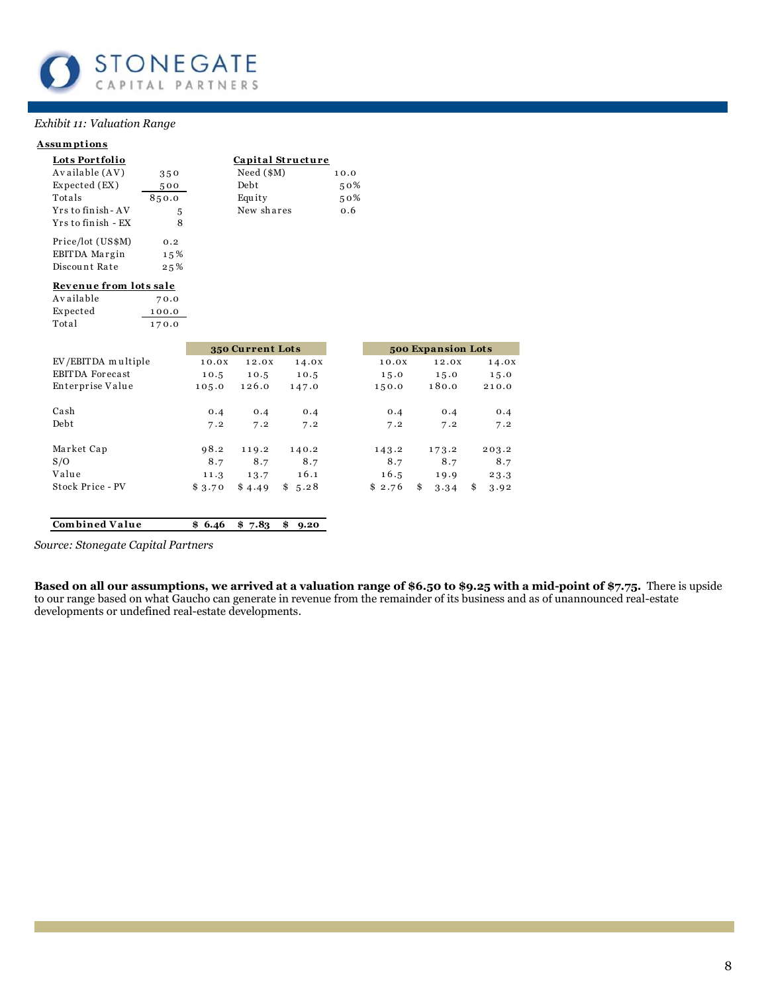

#### Exhibit 11: Valuation Range

#### **Assumptions**

Total

| Lots Portfolio         |       | Capital Structure        |
|------------------------|-------|--------------------------|
| Available (AV)         | 350   | $Need ($ \$M $)$<br>10.0 |
| Expected (EX)          | 500   | Debt<br>50%              |
| Totals                 | 850.0 | Equity<br>50%            |
| Yrs to finish - AV     | 5     | New shares<br>0.6        |
| Yrs to finish - EX     | 8     |                          |
| Price/lot (US\$M)      | 0.2   |                          |
| EBITDA Margin          | 15%   |                          |
| Discount Rate          | 25%   |                          |
| Revenue from lots sale |       |                          |
| Available              | 70.0  |                          |
| Expected               | 100.0 |                          |

170.0

|                    |        | 350 Current Lots |            |        | 500 Expansion Lots |            |
|--------------------|--------|------------------|------------|--------|--------------------|------------|
| EV/EBITDA multiple | 10.0X  | 12.0X            | 14.0X      | 10.0X  | 12.0X              | 14.0X      |
| EBITDA Forecast    | 10.5   | 10.5             | 10.5       | 15.0   | 15.0               | 15.0       |
| Enterprise Value   | 105.0  | 126.0            | 147.0      | 150.0  | 180.0              | 210.0      |
| Cash               | 0.4    | 0.4              | 0.4        | 0.4    | 0.4                | 0.4        |
| Debt               | 7.2    | 7.2              | 7.2        | 7.2    | 7.2                | 7.2        |
| Market Cap         | 98.2   | 119.2            | 140.2      | 143.2  | 173.2              | 203.2      |
| S/O                | 8.7    | 8.7              | 8.7        | 8.7    | 8.7                | 8.7        |
| Value              | 11.3   | 13.7             | 16.1       | 16.5   | 19.9               | 23.3       |
| Stock Price - PV   | \$3.70 | \$4.49           | \$5.28     | \$2.76 | \$<br>3.34         | \$<br>3.92 |
| Combined Value     | \$6.46 | \$7.83           | \$<br>9.20 |        |                    |            |

Source: Stonegate Capital Partners

Based on all our assumptions, we arrived at a valuation range of \$6.50 to \$9.25 with a mid-point of \$7.75. There is upside to our range based on what Gaucho can generate in revenue from the remainder of its business and as developments or undefined real-estate developments.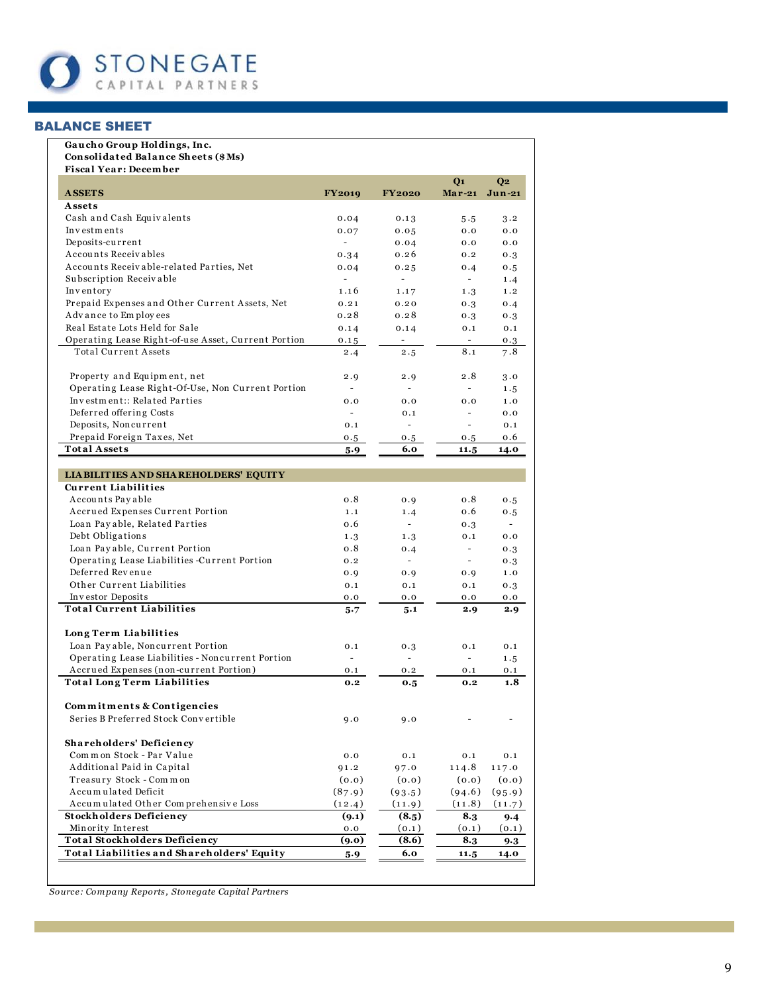

# **BALANCE SHEET**

# Gaucho Group Holdings, Inc.

| Consolidated Balance Sheets (\$Ms)<br><b>Fiscal Year: December</b> |                          |                          |                          |                |
|--------------------------------------------------------------------|--------------------------|--------------------------|--------------------------|----------------|
|                                                                    |                          |                          | Q <sub>1</sub>           | Q <sub>2</sub> |
| <b>ASSETS</b>                                                      | <b>FY2019</b>            | <b>FY2020</b>            | $Mar-21$                 | Jun-21         |
| Assets                                                             |                          |                          |                          |                |
| Cash and Cash Equivalents                                          | 0.04                     | 0.13                     | 5.5                      | 3.2            |
| Investments                                                        | 0.07                     | 0.05                     | 0.0                      | 0.0            |
| Deposits-current                                                   | $\overline{\phantom{a}}$ | 0.04                     | 0.0                      | 0.0            |
| Accounts Receivables                                               | 0.34                     | 0.26                     | 0.2                      | 0.3            |
| Accounts Receivable-related Parties, Net                           | 0.04                     | 0.25                     | 0.4                      | 0.5            |
| Subscription Receivable                                            | $\overline{\phantom{a}}$ | $\blacksquare$           | $\blacksquare$           | 1.4            |
| Inventory                                                          | 1.16                     | 1.17                     | 1.3                      | 1.2            |
| Prepaid Expenses and Other Current Assets, Net                     | 0.21                     | 0.20                     | 0.3                      | 0.4            |
| Advance to Employees                                               | 0.28                     | 0.28                     | 0.3                      | 0.3            |
| Real Estate Lots Held for Sale                                     | 0.14                     | 0.14                     | 0.1                      | 0.1            |
| Operating Lease Right-of-use Asset, Current Portion                | 0.15                     | ÷                        | $\overline{\phantom{a}}$ | 0.3            |
| <b>Total Current Assets</b>                                        | 2.4                      | 2.5                      | 8.1                      | 7.8            |
| Property and Equipment, net                                        | 2.9                      | 2.9                      | 2.8                      | 3.0            |
| Operating Lease Right-Of-Use, Non Current Portion                  | $\sim$                   | $\sim$                   | ÷.                       | 1.5            |
| Investment:: Related Parties                                       | 0.0                      | 0.0                      | 0.0                      | 1.0            |
| Deferred offering Costs                                            | $\omega$                 | 0.1                      | $\overline{\phantom{a}}$ | 0.0            |
| Deposits, Noncurrent                                               | 0.1                      | ÷                        | ÷                        | 0.1            |
| Prepaid Foreign Taxes, Net                                         | 0.5                      | 0.5                      | 0.5                      | 0.6            |
| <b>Total Assets</b>                                                | 5.9                      | 6.0                      | 11.5                     | 14.0           |
| <b>LIA BILITIES AND SHAREHOLDERS' EQUITY</b>                       |                          |                          |                          |                |
| <b>Current Liabilities</b>                                         |                          |                          |                          |                |
| Accounts Payable                                                   | 0.8                      | 0.9                      | 0.8                      | 0.5            |
| Accrued Expenses Current Portion                                   | 1.1                      | 1.4                      | 0.6                      | 0.5            |
| Loan Payable, Related Parties                                      | 0.6                      | $\sim$                   | 0.3                      | $\sim$         |
| Debt Obligations                                                   | 1.3                      | 1.3                      | 0.1                      | 0.0            |
| Loan Payable, Current Portion                                      | 0.8                      | 0.4                      | $\blacksquare$           | 0.3            |
| Operating Lease Liabilities -Current Portion                       | 0.2                      | $\overline{\phantom{a}}$ | $\overline{\phantom{a}}$ | 0.3            |
| Deferred Revenue                                                   | 0.9                      | 0.9                      | 0.9                      | 1.0            |
| Other Current Liabilities                                          | 0.1                      | 0.1                      | 0.1                      | 0.3            |
| Investor Deposits                                                  | 0.0                      | 0.0                      | 0.0                      | 0.0            |
| <b>Total Current Liabilities</b>                                   | 5.7                      | 5.1                      | 2.9                      | 2.9            |
| Long Term Liabilities                                              |                          |                          |                          |                |
| Loan Payable, Noncurrent Portion                                   | 0.1                      | 0.3                      | 0.1                      | 0.1            |
| Operating Lease Liabilities - Noncurrent Portion                   |                          |                          | ÷.                       | 1.5            |
| Accrued Expenses (non-current Portion)                             | 0.1                      | 0.2                      | 0.1                      | 0.1            |
| <b>Total Long Term Liabilities</b>                                 | 0.2                      | 0.5                      | 0.2                      | 1.8            |
| Commitments & Contigencies                                         |                          |                          |                          |                |
| Series B Preferred Stock Convertible                               | 9.0                      | 9.0                      |                          |                |
| Shareholders' Deficiency                                           |                          |                          |                          |                |
| Common Stock - Par Value                                           | 0.0                      | 0.1                      | 0.1                      | 0.1            |
| Additional Paid in Capital                                         | 91.2                     | 97.0                     | 114.8                    | 117.0          |
| Treasury Stock - Common                                            | (0.0)                    | (0.0)                    | (0.0)                    | (0.0)          |
| Accumulated Deficit                                                | (87.9)                   | (93.5)                   | (94.6)                   | (95.9)         |
| Accumulated Other Comprehensive Loss                               | (12.4)                   | (11.9)                   | (11.8)                   | (11.7)         |
| <b>Stockholders Deficiency</b>                                     | (9.1)                    | (8.5)                    | 8.3                      | 9.4            |
| Minority Interest                                                  | 0.0                      | (0.1)                    | (0.1)                    | (0.1)          |
| <b>Total Stockholders Deficiency</b>                               | (9.0)                    | (8.6)                    | 8.3                      | 9.3            |
| Total Liabilities and Shareholders' Equity                         | 5.9                      | 6.0                      | 11.5                     | 14.0           |

Source: Company Reports, Stonegate Capital Partners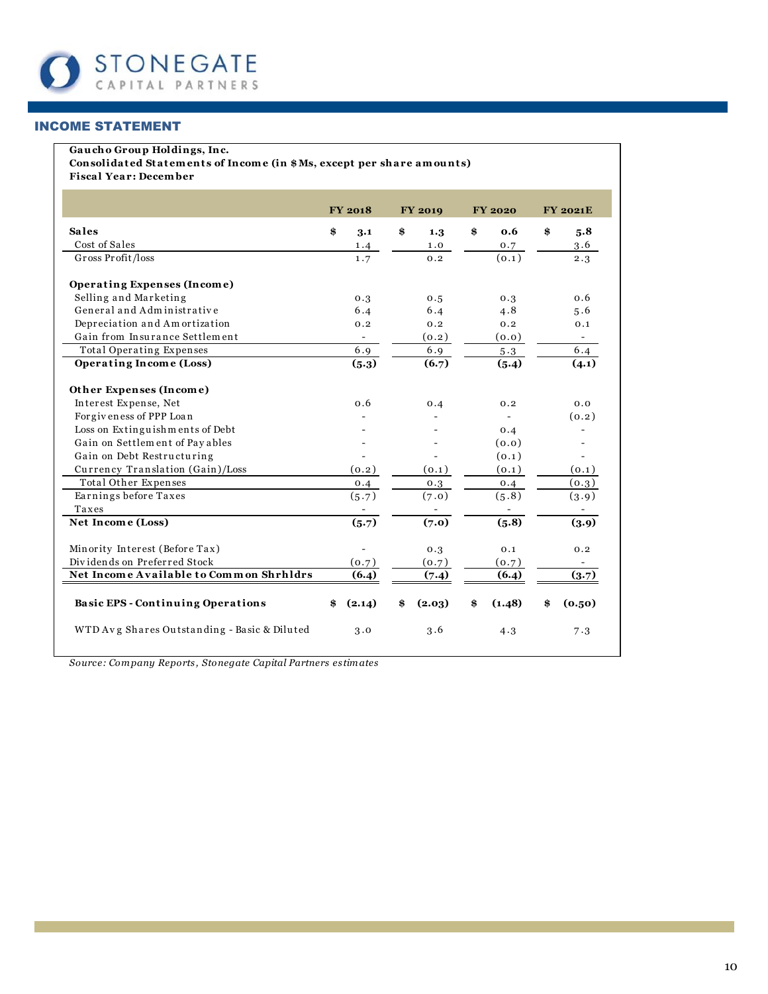

# **INCOME STATEMENT**

#### Gaucho Group Holdings, Inc.

Consolidated Statements of Income (in \$Ms, except per share amounts) **Fiscal Year: December** 

|                                              | <b>FY 2018</b>           | <b>FY 2019</b> | <b>FY 2020</b> | <b>FY 2021E</b> |
|----------------------------------------------|--------------------------|----------------|----------------|-----------------|
| <b>Sales</b>                                 | \$<br>3.1                | \$<br>1.3      | \$<br>0.6      | \$<br>5.8       |
| Cost of Sales                                | 1.4                      | 1.0            | 0.7            | 3.6             |
| Gross Profit/loss                            | 1.7                      | 0.2            | (0.1)          | 2.3             |
| Operating Expenses (Income)                  |                          |                |                |                 |
| Selling and Marketing                        | 0.3                      | 0.5            | 0.3            | 0.6             |
| General and Administrative                   | 6.4                      | 6.4            | 4.8            | 5.6             |
| Depreciation and Amortization                | 0.2                      | 0.2            | 0.2            | 0.1             |
| Gain from Insurance Settlement               | $\overline{\phantom{0}}$ | (0.2)          | (0.0)          |                 |
| Total Operating Expenses                     | 6.9                      | 6.9            | 5.3            | 6.4             |
| Operating Income (Loss)                      | (5.3)                    | (6.7)          | (5.4)          | (4.1)           |
| Other Expenses (Income)                      |                          |                |                |                 |
| Interest Expense, Net                        | 0.6                      | 0.4            | 0.2            | 0.0             |
| For giveness of PPP Loan                     |                          |                |                | (0.2)           |
| Loss on Extinguishments of Debt              |                          |                | 0.4            |                 |
| Gain on Settlem ent of Payables              |                          |                | (0.0)          |                 |
| Gain on Debt Restructuring                   |                          |                | (0.1)          |                 |
| Currency Translation (Gain)/Loss             | (0.2)                    | (0.1)          | (0.1)          | (0.1)           |
| Total Other Expenses                         | 0.4                      | 0.3            | 0.4            | (0.3)           |
| Earnings before Taxes                        | (5.7)                    | (7.0)          | (5.8)          | (3.9)           |
| Taxes                                        |                          |                |                |                 |
| Net Income (Loss)                            | (5.7)                    | (7.0)          | (5.8)          | (3.9)           |
| Minority Interest (Before Tax)               | $\overline{\phantom{0}}$ | 0.3            | 0.1            | 0.2             |
| Dividends on Preferred Stock                 | (0.7)                    | (0.7)          | (0.7)          |                 |
| Net Income Available to Common Shrhldrs      | (6.4)                    | (7.4)          | (6.4)          | (3.7)           |
| <b>Basic EPS - Continuing Operations</b>     | (2.14)<br>\$             | (2.03)<br>\$   | \$<br>(1.48)   | \$<br>(0.50)    |
| WTD Avg Shares Outstanding - Basic & Diluted | 3.0                      | 3.6            | 4.3            | 7.3             |

Source: Company Reports, Stonegate Capital Partners estimates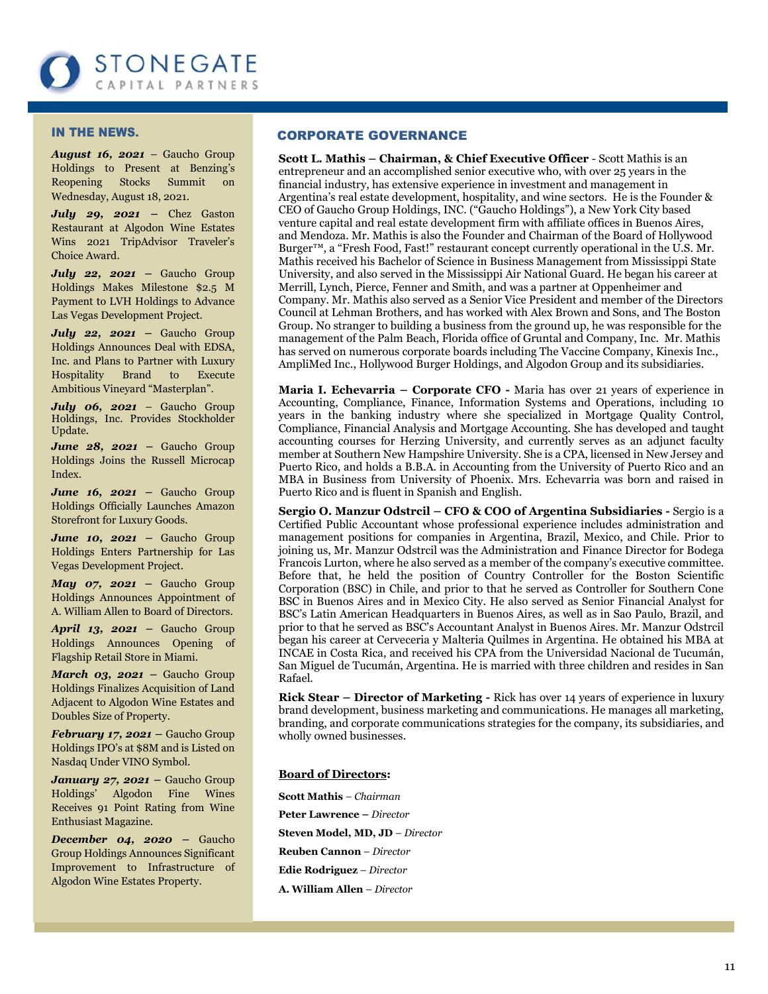

#### IN THE NEWS.

*August 16, 2021* – Gaucho Group Holdings to Present at Benzing's Reopening Stocks Summit on Wednesday, August 18, 2021.

*July 29, 2021 –* Chez Gaston Restaurant at Algodon Wine Estates Wins 2021 TripAdvisor Traveler's Choice Award.

*July 22, 2021 –* Gaucho Group Holdings Makes Milestone \$2.5 M Payment to LVH Holdings to Advance Las Vegas Development Project.

*July 22, 2021 –* Gaucho Group Holdings Announces Deal with EDSA, Inc. and Plans to Partner with Luxury Hospitality Brand to Execute Ambitious Vineyard "Masterplan".

*July 06, 2021* – Gaucho Group Holdings, Inc. Provides Stockholder Update.

*June 28, 2021 –* Gaucho Group Holdings Joins the Russell Microcap Index.

*June 16, 2021 –* Gaucho Group Holdings Officially Launches Amazon Storefront for Luxury Goods.

*June 10, 2021 –* Gaucho Group Holdings Enters Partnership for Las Vegas Development Project.

*May 07, 2021 –* Gaucho Group Holdings Announces Appointment of A. William Allen to Board of Directors.

*April 13, 2021 –* Gaucho Group Holdings Announces Opening of Flagship Retail Store in Miami.

*March 03, 2021 –* Gaucho Group Holdings Finalizes Acquisition of Land Adjacent to Algodon Wine Estates and Doubles Size of Property.

*February 17, 2021 –* Gaucho Group Holdings IPO's at \$8M and is Listed on Nasdaq Under VINO Symbol.

*January 27, 2021 –* Gaucho Group Holdings' Algodon Fine Wines Receives 91 Point Rating from Wine Enthusiast Magazine.

*December 04, 2020 –* Gaucho Group Holdings Announces Significant Improvement to Infrastructure of Algodon Wine Estates Property.

#### CORPORATE GOVERNANCE

**Scott L. Mathis – Chairman, & Chief Executive Officer** - Scott Mathis is an entrepreneur and an accomplished senior executive who, with over 25 years in the financial industry, has extensive experience in investment and management in Argentina's real estate development, hospitality, and wine sectors. He is the Founder & CEO of Gaucho Group Holdings, INC. ("Gaucho Holdings"), a New York City based venture capital and real estate development firm with affiliate offices in Buenos Aires, and Mendoza. Mr. Mathis is also the Founder and Chairman of the Board of [Hollywood](http://www.hollywood-burger.com/)  [Burger](http://www.hollywood-burger.com/)<sup>™</sup>, a "Fresh Food, Fast!" restaurant concept currently operational in the U.S. Mr. Mathis received his Bachelor of Science in Business Management from Mississippi State University, and also served in the Mississippi Air National Guard. He began his career at Merrill, Lynch, Pierce, Fenner and Smith, and was a partner at Oppenheimer and Company. Mr. Mathis also served as a Senior Vice President and member of the Directors Council at Lehman Brothers, and has worked with Alex Brown and Sons, and The Boston Group. No stranger to building a business from the ground up, he was responsible for the management of the Palm Beach, Florida office of Gruntal and Company, Inc. Mr. Mathis has served on numerous corporate boards including The Vaccine Company, Kinexis Inc., AmpliMed Inc., Hollywood Burger Holdings, and Algodon Group and its subsidiaries.

**Maria I. Echevarria – Corporate CFO -** Maria has over 21 years of experience in Accounting, Compliance, Finance, Information Systems and Operations, including 10 years in the banking industry where she specialized in Mortgage Quality Control, Compliance, Financial Analysis and Mortgage Accounting. She has developed and taught accounting courses for Herzing University, and currently serves as an adjunct faculty member at Southern New Hampshire University. She is a CPA, licensed in New Jersey and Puerto Rico, and holds a B.B.A. in Accounting from the University of Puerto Rico and an MBA in Business from University of Phoenix. Mrs. Echevarria was born and raised in Puerto Rico and is fluent in Spanish and English.

**Sergio O. Manzur Odstrcil – CFO & COO of Argentina Subsidiaries -** Sergio is a Certified Public Accountant whose professional experience includes administration and management positions for companies in Argentina, Brazil, Mexico, and Chile. Prior to joining us, Mr. Manzur Odstrcil was the Administration and Finance Director for Bodega Francois Lurton, where he also served as a member of the company's executive committee. Before that, he held the position of Country Controller for the Boston Scientific Corporation (BSC) in Chile, and prior to that he served as Controller for Southern Cone BSC in Buenos Aires and in Mexico City. He also served as Senior Financial Analyst for BSC's Latin American Headquarters in Buenos Aires, as well as in Sao Paulo, Brazil, and prior to that he served as BSC's Accountant Analyst in Buenos Aires. Mr. Manzur Odstrcil began his career at Cerveceria y Malteria Quilmes in Argentina. He obtained his MBA at INCAE in Costa Rica, and received his CPA from the Universidad Nacional de Tucumán, San Miguel de Tucumán, Argentina. He is married with three children and resides in San Rafael.

**Rick Stear – Director of Marketing -** Rick has over 14 years of experience in luxury brand development, business marketing and communications. He manages all marketing, branding, and corporate communications strategies for the company, its subsidiaries, and wholly owned businesses.

#### **Board of Directors:**

**Scott Mathis** *– Chairman* **Peter Lawrence –** *Director*  **Steven Model, MD, JD** *– Director* **Reuben Cannon** – *Director* **Edie Rodriguez** – *Director* **A. William Allen** – *Director*